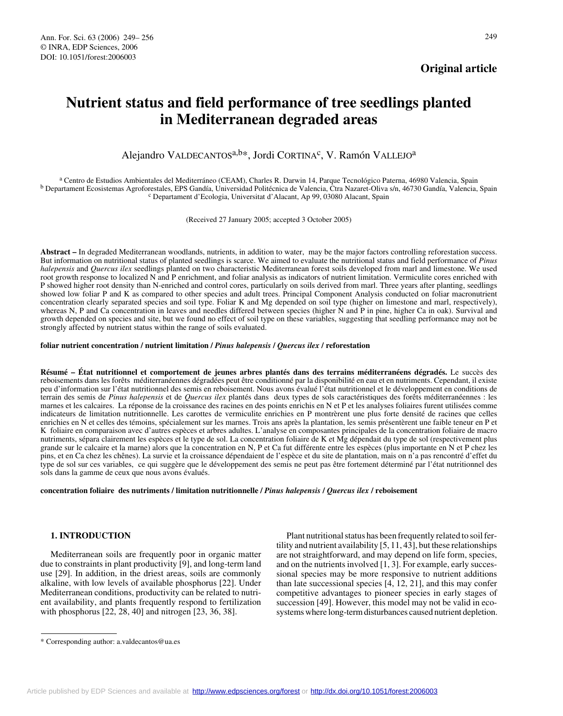## **Original article**

# **Nutrient status and field performance of tree seedlings planted in Mediterranean degraded areas**

Alejandro VALDECANTOS<sup>a, b\*</sup>, Jordi CORTINA<sup>c</sup>, V. Ramón VALLEJO<sup>a</sup>

<sup>a</sup> Centro de Estudios Ambientales del Mediterráneo (CEAM), Charles R. Darwin 14, Parque Tecnológico Paterna, 46980 Valencia, Spain<br><sup>b</sup> Departament Ecosistemas Agroforestales, EPS Gandía, Universidad Politécnica de Valenci

(Received 27 January 2005; accepted 3 October 2005)

**Abstract –** In degraded Mediterranean woodlands, nutrients, in addition to water, may be the major factors controlling reforestation success. But information on nutritional status of planted seedlings is scarce. We aimed to evaluate the nutritional status and field performance of *Pinus halepensis* and *Quercus ilex* seedlings planted on two characteristic Mediterranean forest soils developed from marl and limestone. We used root growth response to localized N and P enrichment, and foliar analysis as indicators of nutrient limitation. Vermiculite cores enriched with P showed higher root density than N-enriched and control cores, particularly on soils derived from marl. Three years after planting, seedlings showed low foliar P and K as compared to other species and adult trees. Principal Component Analysis conducted on foliar macronutrient concentration clearly separated species and soil type. Foliar K and Mg depended on soil type (higher on limestone and marl, respectively), whereas N, P and Ca concentration in leaves and needles differed between species (higher N and P in pine, higher Ca in oak). Survival and growth depended on species and site, but we found no effect of soil type on these variables, suggesting that seedling performance may not be strongly affected by nutrient status within the range of soils evaluated.

#### **foliar nutrient concentration / nutrient limitation /** *Pinus halepensis* **/** *Quercus ilex* **/ reforestation**

**Résumé – État nutritionnel et comportement de jeunes arbres plantés dans des terrains méditerranéens dégradés.** Le succès des reboisements dans les forêts méditerranéennes dégradées peut être conditionné par la disponibilité en eau et en nutriments. Cependant, il existe peu d'information sur l'état nutritionnel des semis en reboisement. Nous avons évalué l'état nutritionnel et le développement en conditions de terrain des semis de *Pinus halepensis* et de *Quercus ilex* plantés dans deux types de sols caractéristiques des forêts méditerranéennes : les marnes et les calcaires. La réponse de la croissance des racines en des points enrichis en N et P et les analyses foliaires furent utilisées comme indicateurs de limitation nutritionnelle. Les carottes de vermiculite enrichies en P montrèrent une plus forte densité de racines que celles enrichies en N et celles des témoins, spécialement sur les marnes. Trois ans après la plantation, les semis présentèrent une faible teneur en P et K foliaire en comparaison avec d'autres espèces et arbres adultes. L'analyse en composantes principales de la concentration foliaire de macro nutriments, sépara clairement les espèces et le type de sol. La concentration foliaire de K et Mg dépendait du type de sol (respectivement plus grande sur le calcaire et la marne) alors que la concentration en N, P et Ca fut différente entre les espèces (plus importante en N et P chez les pins, et en Ca chez les chênes). La survie et la croissance dépendaient de l'espèce et du site de plantation, mais on n'a pas rencontré d'effet du type de sol sur ces variables, ce qui suggère que le développement des semis ne peut pas être fortement déterminé par l'état nutritionnel des sols dans la gamme de ceux que nous avons évalués.

**concentration foliaire des nutriments / limitation nutritionnelle /** *Pinus halepensis* **/** *Quercus ilex* **/ reboisement**

## **1. INTRODUCTION**

Mediterranean soils are frequently poor in organic matter due to constraints in plant productivity [9], and long-term land use [29]. In addition, in the driest areas, soils are commonly alkaline, with low levels of available phosphorus [22]. Under Mediterranean conditions, productivity can be related to nutrient availability, and plants frequently respond to fertilization with phosphorus [22, 28, 40] and nitrogen [23, 36, 38].

Plant nutritional status has been frequently related to soil fertility and nutrient availability [5, 11, 43], but these relationships are not straightforward, and may depend on life form, species, and on the nutrients involved [1, 3]. For example, early successional species may be more responsive to nutrient additions than late successional species [4, 12, 21], and this may confer competitive advantages to pioneer species in early stages of succession [49]. However, this model may not be valid in ecosystems where long-term disturbances caused nutrient depletion.

<sup>\*</sup> Corresponding author: a.valdecantos@ua.es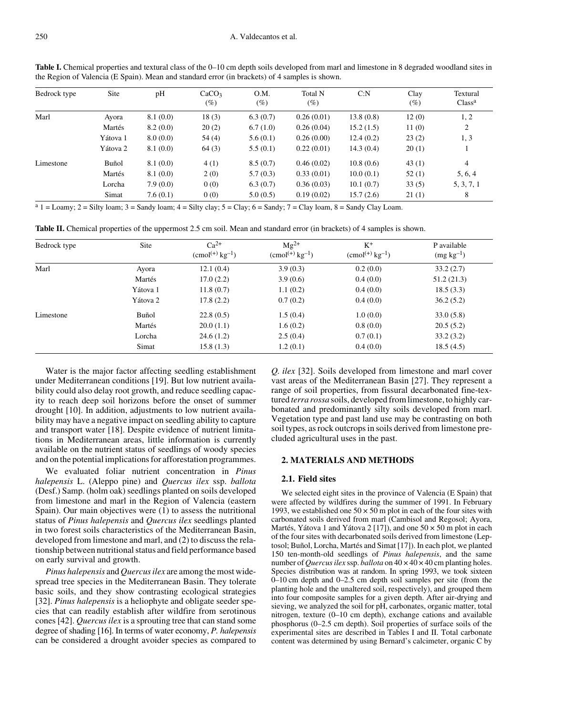| Bedrock type | Site     | pH       | CaCO <sub>3</sub><br>$(\%)$ | O.M.<br>$(\%)$ | Total N<br>(%) | C: N      | Clay<br>$(\%)$ | Textural<br>Class <sup>a</sup> |
|--------------|----------|----------|-----------------------------|----------------|----------------|-----------|----------------|--------------------------------|
| Marl         | Ayora    | 8.1(0.0) | 18(3)                       | 6.3(0.7)       | 0.26(0.01)     | 13.8(0.8) | 12(0)          | 1, 2                           |
|              | Martés   | 8.2(0.0) | 20(2)                       | 6.7(1.0)       | 0.26(0.04)     | 15.2(1.5) | 11(0)          | 2                              |
|              | Yátova 1 | 8.0(0.0) | 54(4)                       | 5.6(0.1)       | 0.26(0.00)     | 12.4(0.2) | 23(2)          | 1, 3                           |
|              | Yátova 2 | 8.1(0.0) | 64(3)                       | 5.5(0.1)       | 0.22(0.01)     | 14.3(0.4) | 20(1)          |                                |
| Limestone    | Buñol    | 8.1(0.0) | 4(1)                        | 8.5(0.7)       | 0.46(0.02)     | 10.8(0.6) | 43(1)          | $\overline{4}$                 |
|              | Martés   | 8.1(0.0) | 2(0)                        | 5.7(0.3)       | 0.33(0.01)     | 10.0(0.1) | 52(1)          | 5, 6, 4                        |
|              | Lorcha   | 7.9(0.0) | 0(0)                        | 6.3(0.7)       | 0.36(0.03)     | 10.1(0.7) | 33(5)          | 5, 3, 7, 1                     |
|              | Simat    | 7.6(0.1) | 0(0)                        | 5.0(0.5)       | 0.19(0.02)     | 15.7(2.6) | 21(1)          | 8                              |

Table I. Chemical properties and textural class of the 0–10 cm depth soils developed from marl and limestone in 8 degraded woodland sites in the Region of Valencia (E Spain). Mean and standard error (in brackets) of 4 samples is shown.

 $a_1 =$  Loamy;  $2 =$  Silty loam;  $3 =$  Sandy loam;  $4 =$  Silty clay;  $5 =$  Clay;  $6 =$  Sandy;  $7 =$  Clay loam,  $8 =$  Sandy Clay Loam.

**Table II.** Chemical properties of the uppermost 2.5 cm soil. Mean and standard error (in brackets) of 4 samples is shown.

| Bedrock type | Site     | $Ca^{2+}$<br>$\text{(cmol}^{(+)} \text{kg}^{-1}$ ) | $Mg^{2+}$<br>$\text{(cmol}^{(+)} \text{kg}^{-1}$ ) | $K^+$<br>$\rm{(cmol^{(+)}\,kg^{-1})}$ | P available<br>$(mg kg-1)$ |
|--------------|----------|----------------------------------------------------|----------------------------------------------------|---------------------------------------|----------------------------|
| Marl         | Ayora    | 12.1(0.4)                                          | 3.9(0.3)                                           | 0.2(0.0)                              | 33.2(2.7)                  |
|              | Martés   | 17.0(2.2)                                          | 3.9(0.6)                                           | 0.4(0.0)                              | 51.2(21.3)                 |
|              | Yátova 1 | 11.8(0.7)                                          | 1.1(0.2)                                           | 0.4(0.0)                              | 18.5(3.3)                  |
|              | Yátova 2 | 17.8(2.2)                                          | 0.7(0.2)                                           | 0.4(0.0)                              | 36.2(5.2)                  |
| Limestone    | Buñol    | 22.8(0.5)                                          | 1.5(0.4)                                           | 1.0(0.0)                              | 33.0(5.8)                  |
|              | Martés   | 20.0(1.1)                                          | 1.6(0.2)                                           | 0.8(0.0)                              | 20.5(5.2)                  |
|              | Lorcha   | 24.6(1.2)                                          | 2.5(0.4)                                           | 0.7(0.1)                              | 33.2(3.2)                  |
|              | Simat    | 15.8(1.3)                                          | 1.2(0.1)                                           | 0.4(0.0)                              | 18.5(4.5)                  |

Water is the major factor affecting seedling establishment under Mediterranean conditions [19]. But low nutrient availability could also delay root growth, and reduce seedling capacity to reach deep soil horizons before the onset of summer drought [10]. In addition, adjustments to low nutrient availability may have a negative impact on seedling ability to capture and transport water [18]. Despite evidence of nutrient limitations in Mediterranean areas, little information is currently available on the nutrient status of seedlings of woody species and on the potential implications for afforestation programmes.

We evaluated foliar nutrient concentration in *Pinus halepensis* L. (Aleppo pine) and *Quercus ilex* ssp. *ballota* (Desf.) Samp. (holm oak) seedlings planted on soils developed from limestone and marl in the Region of Valencia (eastern Spain). Our main objectives were (1) to assess the nutritional status of *Pinus halepensis* and *Quercus ilex* seedlings planted in two forest soils characteristics of the Mediterranean Basin, developed from limestone and marl, and (2) to discuss the relationship between nutritional status and field performance based on early survival and growth.

*Pinus halepensis* and *Quercus ilex* are among the most widespread tree species in the Mediterranean Basin. They tolerate basic soils, and they show contrasting ecological strategies [32]. *Pinus halepensis* is a heliophyte and obligate seeder species that can readily establish after wildfire from serotinous cones [42]. *Quercus ilex* is a sprouting tree that can stand some degree of shading [16]. In terms of water economy, *P. halepensis* can be considered a drought avoider species as compared to

*Q. ilex* [32]. Soils developed from limestone and marl cover vast areas of the Mediterranean Basin [27]. They represent a range of soil properties, from fissural decarbonated fine-textured *terra rossa* soils, developed from limestone, to highly carbonated and predominantly silty soils developed from marl. Vegetation type and past land use may be contrasting on both soil types, as rock outcrops in soils derived from limestone precluded agricultural uses in the past.

#### **2. MATERIALS AND METHODS**

#### **2.1. Field sites**

We selected eight sites in the province of Valencia (E Spain) that were affected by wildfires during the summer of 1991. In February 1993, we established one  $50 \times 50$  m plot in each of the four sites with carbonated soils derived from marl (Cambisol and Regosol; Ayora, Martés, Yátova 1 and Yátova 2 [17]), and one  $50 \times 50$  m plot in each of the four sites with decarbonated soils derived from limestone (Leptosol; Buñol, Lorcha, Martés and Simat [17]). In each plot, we planted 150 ten-month-old seedlings of *Pinus halepensis*, and the same number of *Quercus ilex* ssp. *ballota* on  $40 \times 40 \times 40$  cm planting holes. Species distribution was at random. In spring 1993, we took sixteen 0–10 cm depth and 0–2.5 cm depth soil samples per site (from the planting hole and the unaltered soil, respectively), and grouped them into four composite samples for a given depth. After air-drying and sieving, we analyzed the soil for pH, carbonates, organic matter, total nitrogen, texture (0–10 cm depth), exchange cations and available phosphorus (0–2.5 cm depth). Soil properties of surface soils of the experimental sites are described in Tables I and II. Total carbonate content was determined by using Bernard's calcimeter, organic C by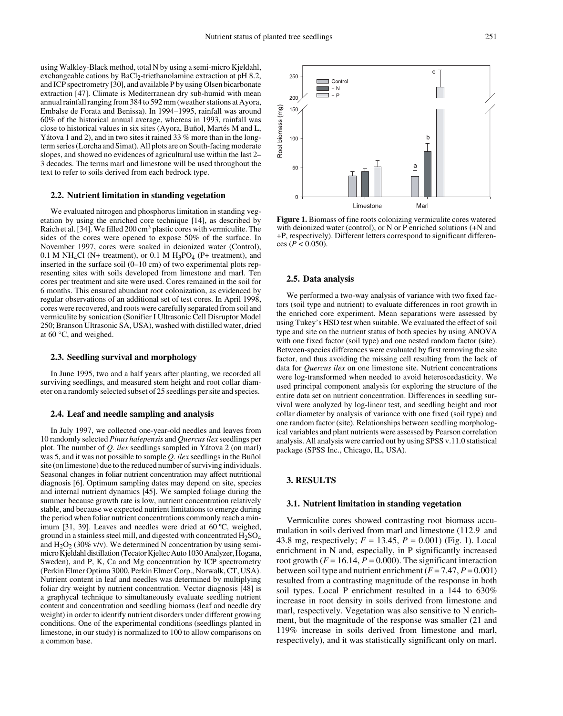using Walkley-Black method, total N by using a semi-micro Kjeldahl, exchangeable cations by BaCl<sub>2</sub>-triethanolamine extraction at pH 8.2, and ICP spectrometry [30], and available P by using Olsen bicarbonate extraction [47]. Climate is Mediterranean dry sub-humid with mean annual rainfall ranging from 384 to 592 mm (weather stations at Ayora, Embalse de Forata and Benissa). In 1994–1995, rainfall was around 60% of the historical annual average, whereas in 1993, rainfall was close to historical values in six sites (Ayora, Buñol, Martés M and L, Yátova 1 and 2), and in two sites it rained 33 % more than in the longterm series (Lorcha and Simat). All plots are on South-facing moderate slopes, and showed no evidences of agricultural use within the last 2– 3 decades. The terms marl and limestone will be used throughout the text to refer to soils derived from each bedrock type.

#### **2.2. Nutrient limitation in standing vegetation**

We evaluated nitrogen and phosphorus limitation in standing vegetation by using the enriched core technique [14], as described by Raich et al. [34]. We filled 200 cm3 plastic cores with vermiculite. The sides of the cores were opened to expose 50% of the surface. In November 1997, cores were soaked in deionized water (Control), 0.1 M NH<sub>4</sub>Cl (N+ treatment), or 0.1 M H<sub>3</sub>PO<sub>4</sub> (P+ treatment), and inserted in the surface soil (0–10 cm) of two experimental plots representing sites with soils developed from limestone and marl. Ten cores per treatment and site were used. Cores remained in the soil for 6 months. This ensured abundant root colonization, as evidenced by regular observations of an additional set of test cores. In April 1998, cores were recovered, and roots were carefully separated from soil and vermiculite by sonication (Sonifier I Ultrasonic Cell Disruptor Model 250; Branson Ultrasonic SA, USA), washed with distilled water, dried at 60 °C, and weighed.

#### **2.3. Seedling survival and morphology**

In June 1995, two and a half years after planting, we recorded all surviving seedlings, and measured stem height and root collar diameter on a randomly selected subset of 25 seedlings per site and species.

#### **2.4. Leaf and needle sampling and analysis**

In July 1997, we collected one-year-old needles and leaves from 10 randomly selected *Pinus halepensis* and *Quercus ilex* seedlings per plot. The number of *Q. ilex* seedlings sampled in Yátova 2 (on marl) was 5, and it was not possible to sample *Q. ilex* seedlings in the Buñol site (on limestone) due to the reduced number of surviving individuals. Seasonal changes in foliar nutrient concentration may affect nutritional diagnosis [6]. Optimum sampling dates may depend on site, species and internal nutrient dynamics [45]. We sampled foliage during the summer because growth rate is low, nutrient concentration relatively stable, and because we expected nutrient limitations to emerge during the period when foliar nutrient concentrations commonly reach a minimum [31, 39]. Leaves and needles were dried at 60 ºC, weighed, ground in a stainless steel mill, and digested with concentrated  $H_2SO_4$ and  $H_2O_2$  (30% v/v). We determined N concentration by using semimicro Kjeldahl distillation (Tecator Kjeltec Auto 1030 Analyzer, Hogana, Sweden), and P, K, Ca and Mg concentration by ICP spectrometry (Perkin Elmer Optima 3000, Perkin Elmer Corp., Norwalk, CT, USA). Nutrient content in leaf and needles was determined by multiplying foliar dry weight by nutrient concentration. Vector diagnosis [48] is a graphycal technique to simultaneously evaluate seedling nutrient content and concentration and seedling biomass (leaf and needle dry weight) in order to identify nutrient disorders under different growing conditions. One of the experimental conditions (seedlings planted in limestone, in our study) is normalized to 100 to allow comparisons on a common base.



**Figure 1.** Biomass of fine roots colonizing vermiculite cores watered with deionized water (control), or N or P enriched solutions (+N and +P, respectively). Different letters correspond to significant differences  $(P < 0.050)$ .

#### **2.5. Data analysis**

We performed a two-way analysis of variance with two fixed factors (soil type and nutrient) to evaluate differences in root growth in the enriched core experiment. Mean separations were assessed by using Tukey's HSD test when suitable. We evaluated the effect of soil type and site on the nutrient status of both species by using ANOVA with one fixed factor (soil type) and one nested random factor (site). Between-species differences were evaluated by first removing the site factor, and thus avoiding the missing cell resulting from the lack of data for *Quercus ilex* on one limestone site. Nutrient concentrations were log-transformed when needed to avoid heteroscedasticity. We used principal component analysis for exploring the structure of the entire data set on nutrient concentration. Differences in seedling survival were analyzed by log-linear test, and seedling height and root collar diameter by analysis of variance with one fixed (soil type) and one random factor (site). Relationships between seedling morphological variables and plant nutrients were assessed by Pearson correlation analysis. All analysis were carried out by using SPSS v.11.0 statistical package (SPSS Inc., Chicago, IL, USA).

## **3. RESULTS**

#### **3.1. Nutrient limitation in standing vegetation**

Vermiculite cores showed contrasting root biomass accumulation in soils derived from marl and limestone (112.9 and 43.8 mg, respectively; *F* = 13.45, *P* = 0.001) (Fig. 1). Local enrichment in N and, especially, in P significantly increased root growth  $(F = 16.14, P = 0.000)$ . The significant interaction between soil type and nutrient enrichment  $(F = 7.47, P = 0.001)$ resulted from a contrasting magnitude of the response in both soil types. Local P enrichment resulted in a 144 to 630% increase in root density in soils derived from limestone and marl, respectively. Vegetation was also sensitive to N enrichment, but the magnitude of the response was smaller (21 and 119% increase in soils derived from limestone and marl, respectively), and it was statistically significant only on marl.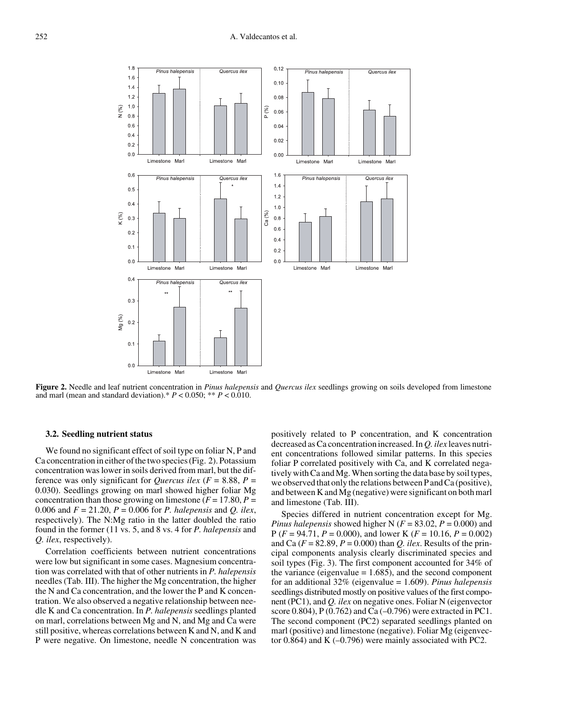

**Figure 2.** Needle and leaf nutrient concentration in *Pinus halepensis* and *Quercus ilex* seedlings growing on soils developed from limestone and marl (mean and standard deviation).\*  $P < 0.050$ ; \*\*  $P < 0.010$ .

#### **3.2. Seedling nutrient status**

We found no significant effect of soil type on foliar N, P and Ca concentration in either of the two species (Fig. 2). Potassium concentration was lower in soils derived from marl, but the difference was only significant for *Quercus ilex* ( $F = 8.88$ ,  $P =$ 0.030). Seedlings growing on marl showed higher foliar Mg concentration than those growing on limestone  $(F = 17.80, P =$ 0.006 and *F* = 21.20, *P* = 0.006 for *P. halepensis* and *Q. ilex*, respectively). The N:Mg ratio in the latter doubled the ratio found in the former (11 vs. 5, and 8 vs. 4 for *P. halepensis* and *Q. ilex*, respectively).

Correlation coefficients between nutrient concentrations were low but significant in some cases. Magnesium concentration was correlated with that of other nutrients in *P. halepensis* needles (Tab. III). The higher the Mg concentration, the higher the N and Ca concentration, and the lower the P and K concentration. We also observed a negative relationship between needle K and Ca concentration. In *P. halepensis* seedlings planted on marl, correlations between Mg and N, and Mg and Ca were still positive, whereas correlations between K and N, and K and P were negative. On limestone, needle N concentration was

positively related to P concentration, and K concentration decreased as Ca concentration increased. In *Q. ilex* leaves nutrient concentrations followed similar patterns. In this species foliar P correlated positively with Ca, and K correlated negatively with Ca and Mg. When sorting the data base by soil types, we observed that only the relations between P and Ca (positive), and between K and Mg (negative) were significant on both marl and limestone (Tab. III).

Species differed in nutrient concentration except for Mg. *Pinus halepensis* showed higher N ( $F = 83.02$ ,  $P = 0.000$ ) and P (*F* = 94.71, *P* = 0.000), and lower K (*F* = 10.16, *P* = 0.002) and Ca  $(F = 82.89, P = 0.000)$  than *Q. ilex.* Results of the principal components analysis clearly discriminated species and soil types (Fig. 3). The first component accounted for 34% of the variance (eigenvalue  $= 1.685$ ), and the second component for an additional 32% (eigenvalue = 1.609). *Pinus halepensis* seedlings distributed mostly on positive values of the first component (PC1), and *Q. ilex* on negative ones. Foliar N (eigenvector score 0.804), P  $(0.762)$  and Ca  $(-0.796)$  were extracted in PC1. The second component (PC2) separated seedlings planted on marl (positive) and limestone (negative). Foliar Mg (eigenvector 0.864) and K (–0.796) were mainly associated with PC2.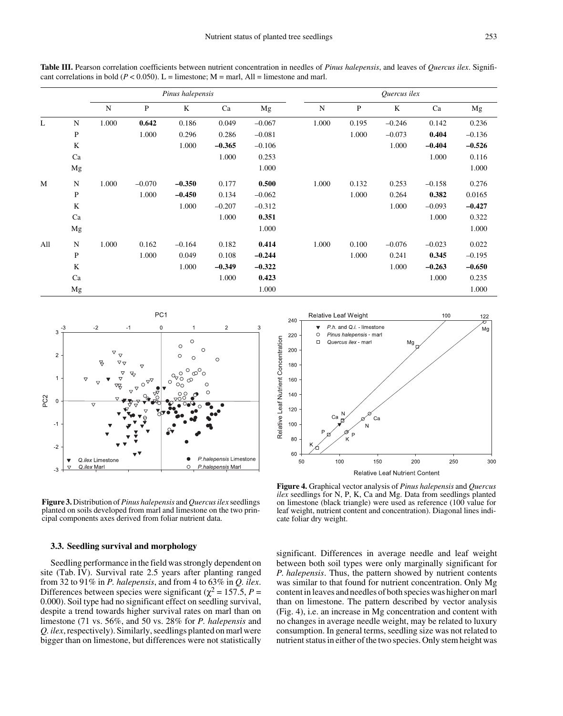**Table III.** Pearson correlation coefficients between nutrient concentration in needles of *Pinus halepensis*, and leaves of *Quercus ilex*. Significant correlations in bold ( $P < 0.050$ ). L = limestone; M = marl, All = limestone and marl.

|     |              | Pinus halepensis |           |          |          | Quercus ilex |       |       |          |          |          |
|-----|--------------|------------------|-----------|----------|----------|--------------|-------|-------|----------|----------|----------|
|     |              | N                | ${\bf P}$ | K        | Ca       | Mg           | N     | P     | $\rm K$  | Ca       | Mg       |
| L   | ${\bf N}$    | 1.000            | 0.642     | 0.186    | 0.049    | $-0.067$     | 1.000 | 0.195 | $-0.246$ | 0.142    | 0.236    |
|     | P            |                  | 1.000     | 0.296    | 0.286    | $-0.081$     |       | 1.000 | $-0.073$ | 0.404    | $-0.136$ |
|     | K            |                  |           | 1.000    | $-0.365$ | $-0.106$     |       |       | 1.000    | $-0.404$ | $-0.526$ |
|     | Ca           |                  |           |          | 1.000    | 0.253        |       |       |          | 1.000    | 0.116    |
|     | Mg           |                  |           |          |          | 1.000        |       |       |          |          | 1.000    |
| M   | $\mathbf N$  | 1.000            | $-0.070$  | $-0.350$ | 0.177    | 0.500        | 1.000 | 0.132 | 0.253    | $-0.158$ | 0.276    |
|     | $\mathbf{P}$ |                  | 1.000     | $-0.450$ | 0.134    | $-0.062$     |       | 1.000 | 0.264    | 0.382    | 0.0165   |
|     | K            |                  |           | 1.000    | $-0.207$ | $-0.312$     |       |       | 1.000    | $-0.093$ | $-0.427$ |
|     | Ca           |                  |           |          | 1.000    | 0.351        |       |       |          | 1.000    | 0.322    |
|     | Mg           |                  |           |          |          | 1.000        |       |       |          |          | 1.000    |
| All | N            | 1.000            | 0.162     | $-0.164$ | 0.182    | 0.414        | 1.000 | 0.100 | $-0.076$ | $-0.023$ | 0.022    |
|     | ${\bf P}$    |                  | 1.000     | 0.049    | 0.108    | $-0.244$     |       | 1.000 | 0.241    | 0.345    | $-0.195$ |
|     | K            |                  |           | 1.000    | $-0.349$ | $-0.322$     |       |       | 1.000    | $-0.263$ | $-0.650$ |
|     | Ca           |                  |           |          | 1.000    | 0.423        |       |       |          | 1.000    | 0.235    |
|     | Mg           |                  |           |          |          | 1.000        |       |       |          |          | 1.000    |





100

122

Relative Leaf Weight

240

**Figure 3.** Distribution of *Pinus halepensis* and *Quercus ilex* seedlings planted on soils developed from marl and limestone on the two principal components axes derived from foliar nutrient data.

#### **3.3. Seedling survival and morphology**

Seedling performance in the field was strongly dependent on site (Tab. IV). Survival rate 2.5 years after planting ranged from 32 to 91% in *P. halepensis*, and from 4 to 63% in *Q. ilex*. Differences between species were significant ( $\chi^2$  = 157.5, *P* = 0.000). Soil type had no significant effect on seedling survival, despite a trend towards higher survival rates on marl than on limestone (71 vs. 56%, and 50 vs. 28% for *P. halepensis* and *Q. ilex*, respectively). Similarly, seedlings planted on marl were bigger than on limestone, but differences were not statistically

**Figure 4.** Graphical vector analysis of *Pinus halepensis* and *Quercus ilex* seedlings for N, P, K, Ca and Mg. Data from seedlings planted on limestone (black triangle) were used as reference (100 value for leaf weight, nutrient content and concentration). Diagonal lines indicate foliar dry weight.

significant. Differences in average needle and leaf weight between both soil types were only marginally significant for *P. halepensis*. Thus, the pattern showed by nutrient contents was similar to that found for nutrient concentration. Only Mg content in leaves and needles of both species was higher on marl than on limestone. The pattern described by vector analysis (Fig. 4), i.e. an increase in Mg concentration and content with no changes in average needle weight, may be related to luxury consumption. In general terms, seedling size was not related to nutrient status in either of the two species. Only stem height was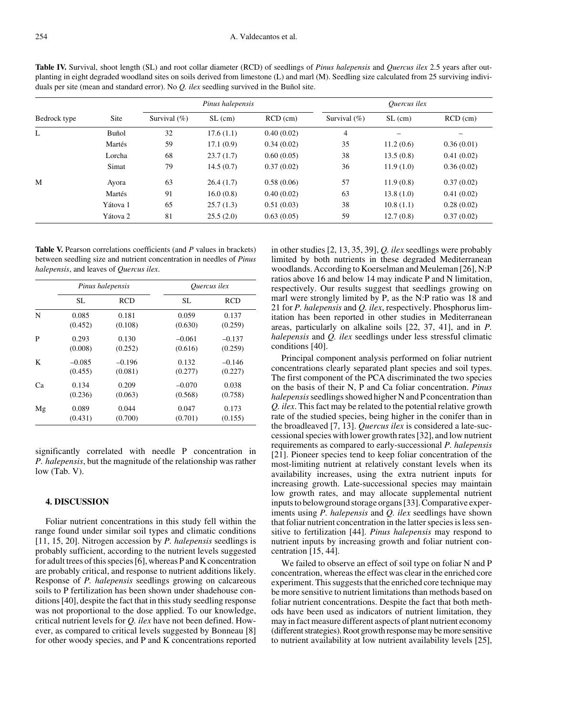**Table IV.** Survival, shoot length (SL) and root collar diameter (RCD) of seedlings of *Pinus halepensis* and *Quercus ilex* 2.5 years after outplanting in eight degraded woodland sites on soils derived from limestone (L) and marl (M). Seedling size calculated from 25 surviving individuals per site (mean and standard error). No *Q. ilex* seedling survived in the Buñol site.

|              |          |                 | Pinus halepensis |            | <i>Ouercus ilex</i> |           |            |
|--------------|----------|-----------------|------------------|------------|---------------------|-----------|------------|
| Bedrock type | Site     | Survival $(\%)$ | $SL$ (cm)        | $RCD$ (cm) | Survival $(\%)$     | $SL$ (cm) | $RCD$ (cm) |
| L            | Buñol    | 32              | 17.6(1.1)        | 0.40(0.02) | 4                   |           |            |
|              | Martés   | 59              | 17.1(0.9)        | 0.34(0.02) | 35                  | 11.2(0.6) | 0.36(0.01) |
|              | Lorcha   | 68              | 23.7(1.7)        | 0.60(0.05) | 38                  | 13.5(0.8) | 0.41(0.02) |
|              | Simat    | 79              | 14.5(0.7)        | 0.37(0.02) | 36                  | 11.9(1.0) | 0.36(0.02) |
| M            | Ayora    | 63              | 26.4(1.7)        | 0.58(0.06) | 57                  | 11.9(0.8) | 0.37(0.02) |
|              | Martés   | 91              | 16.0(0.8)        | 0.40(0.02) | 63                  | 13.8(1.0) | 0.41(0.02) |
|              | Yátova 1 | 65              | 25.7(1.3)        | 0.51(0.03) | 38                  | 10.8(1.1) | 0.28(0.02) |
|              | Yátova 2 | 81              | 25.5(2.0)        | 0.63(0.05) | 59                  | 12.7(0.8) | 0.37(0.02) |

Table V. Pearson correlations coefficients (and *P* values in brackets) between seedling size and nutrient concentration in needles of *Pinus halepensis*, and leaves of *Quercus ilex*.

|    |          | Pinus halepensis | <i>Ouercus ilex</i> |            |  |  |
|----|----------|------------------|---------------------|------------|--|--|
|    | SL.      | <b>RCD</b>       | SL.                 | <b>RCD</b> |  |  |
| N  | 0.085    | 0.181            | 0.059               | 0.137      |  |  |
|    | (0.452)  | (0.108)          | (0.630)             | (0.259)    |  |  |
| P  | 0.293    | 0.130            | $-0.061$            | $-0.137$   |  |  |
|    | (0.008)  | (0.252)          | (0.616)             | (0.259)    |  |  |
| K  | $-0.085$ | $-0.196$         | 0.132               | $-0.146$   |  |  |
|    | (0.455)  | (0.081)          | (0.277)             | (0.227)    |  |  |
| Ca | 0.134    | 0.209            | $-0.070$            | 0.038      |  |  |
|    | (0.236)  | (0.063)          | (0.568)             | (0.758)    |  |  |
| Mg | 0.089    | 0.044            | 0.047               | 0.173      |  |  |
|    | (0.431)  | (0.700)          | (0.701)             | (0.155)    |  |  |

significantly correlated with needle P concentration in *P. halepensis*, but the magnitude of the relationship was rather low (Tab. V).

### **4. DISCUSSION**

Foliar nutrient concentrations in this study fell within the range found under similar soil types and climatic conditions [11, 15, 20]. Nitrogen accession by *P. halepensis* seedlings is probably sufficient, according to the nutrient levels suggested for adult trees of this species [6], whereas P and K concentration are probably critical, and response to nutrient additions likely. Response of *P. halepensis* seedlings growing on calcareous soils to P fertilization has been shown under shadehouse conditions [40], despite the fact that in this study seedling response was not proportional to the dose applied. To our knowledge, critical nutrient levels for *Q. ilex* have not been defined. However, as compared to critical levels suggested by Bonneau [8] for other woody species, and P and K concentrations reported in other studies [2, 13, 35, 39], *Q. ilex* seedlings were probably limited by both nutrients in these degraded Mediterranean woodlands. According to Koerselman and Meuleman [26], N:P ratios above 16 and below 14 may indicate P and N limitation, respectively. Our results suggest that seedlings growing on marl were strongly limited by P, as the N:P ratio was 18 and 21 for *P. halepensis* and *Q. ilex*, respectively. Phosphorus limitation has been reported in other studies in Mediterranean areas, particularly on alkaline soils [22, 37, 41], and in *P. halepensis* and *Q. ilex* seedlings under less stressful climatic conditions [40].

Principal component analysis performed on foliar nutrient concentrations clearly separated plant species and soil types. The first component of the PCA discriminated the two species on the basis of their N, P and Ca foliar concentration. *Pinus halepensis* seedlings showed higher N and P concentration than *Q. ilex*. This fact may be related to the potential relative growth rate of the studied species, being higher in the conifer than in the broadleaved [7, 13]. *Quercus ilex* is considered a late-successional species with lower growth rates [32], and low nutrient requirements as compared to early-successional *P. halepensis* [21]. Pioneer species tend to keep foliar concentration of the most-limiting nutrient at relatively constant levels when its availability increases, using the extra nutrient inputs for increasing growth. Late-successional species may maintain low growth rates, and may allocate supplemental nutrient inputs to belowground storage organs [33]. Comparative experiments using *P. halepensis* and *Q. ilex* seedlings have shown that foliar nutrient concentration in the latter species is less sensitive to fertilization [44]. *Pinus halepensis* may respond to nutrient inputs by increasing growth and foliar nutrient concentration [15, 44].

We failed to observe an effect of soil type on foliar N and P concentration, whereas the effect was clear in the enriched core experiment. This suggests that the enriched core technique may be more sensitive to nutrient limitations than methods based on foliar nutrient concentrations. Despite the fact that both methods have been used as indicators of nutrient limitation, they may in fact measure different aspects of plant nutrient economy (different strategies). Root growth response may be more sensitive to nutrient availability at low nutrient availability levels [25],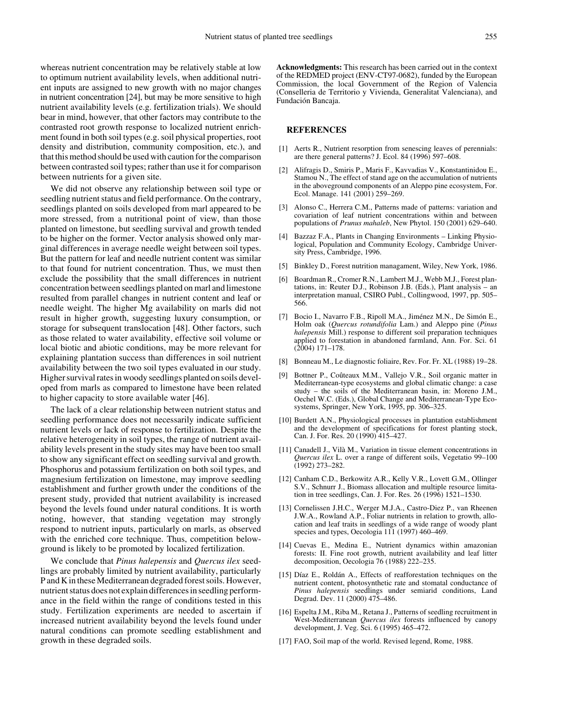whereas nutrient concentration may be relatively stable at low to optimum nutrient availability levels, when additional nutrient inputs are assigned to new growth with no major changes in nutrient concentration [24], but may be more sensitive to high nutrient availability levels (e.g. fertilization trials). We should bear in mind, however, that other factors may contribute to the contrasted root growth response to localized nutrient enrichment found in both soil types (e.g. soil physical properties, root density and distribution, community composition, etc.), and that this method should be used with caution for the comparison between contrasted soil types; rather than use it for comparison between nutrients for a given site.

We did not observe any relationship between soil type or seedling nutrient status and field performance. On the contrary, seedlings planted on soils developed from marl appeared to be more stressed, from a nutritional point of view, than those planted on limestone, but seedling survival and growth tended to be higher on the former. Vector analysis showed only marginal differences in average needle weight between soil types. But the pattern for leaf and needle nutrient content was similar to that found for nutrient concentration. Thus, we must then exclude the possibility that the small differences in nutrient concentration between seedlings planted on marl and limestone resulted from parallel changes in nutrient content and leaf or needle weight. The higher Mg availability on marls did not result in higher growth, suggesting luxury consumption, or storage for subsequent translocation [48]. Other factors, such as those related to water availability, effective soil volume or local biotic and abiotic conditions, may be more relevant for explaining plantation success than differences in soil nutrient availability between the two soil types evaluated in our study. Higher survival rates in woody seedlings planted on soils developed from marls as compared to limestone have been related to higher capacity to store available water [46].

The lack of a clear relationship between nutrient status and seedling performance does not necessarily indicate sufficient nutrient levels or lack of response to fertilization. Despite the relative heterogeneity in soil types, the range of nutrient availability levels present in the study sites may have been too small to show any significant effect on seedling survival and growth. Phosphorus and potassium fertilization on both soil types, and magnesium fertilization on limestone, may improve seedling establishment and further growth under the conditions of the present study, provided that nutrient availability is increased beyond the levels found under natural conditions. It is worth noting, however, that standing vegetation may strongly respond to nutrient inputs, particularly on marls, as observed with the enriched core technique. Thus, competition belowground is likely to be promoted by localized fertilization.

We conclude that *Pinus halepensis* and *Quercus ilex* seedlings are probably limited by nutrient availability, particularly P and K in these Mediterranean degraded forest soils. However, nutrient status does not explain differences in seedling performance in the field within the range of conditions tested in this study. Fertilization experiments are needed to ascertain if increased nutrient availability beyond the levels found under natural conditions can promote seedling establishment and growth in these degraded soils.

**Acknowledgments:** This research has been carried out in the context of the REDMED project (ENV-CT97-0682), funded by the European Commission, the local Government of the Region of Valencia (Conselleria de Territorio y Vivienda, Generalitat Valenciana), and Fundación Bancaja.

#### **REFERENCES**

- [1] Aerts R., Nutrient resorption from senescing leaves of perennials: are there general patterns? J. Ecol. 84 (1996) 597–608.
- [2] Alifragis D., Smiris P., Maris F., Kavvadias V., Konstantinidou E., Stamou N., The effect of stand age on the accumulation of nutrients in the aboveground components of an Aleppo pine ecosystem, For. Ecol. Manage. 141 (2001) 259-269.
- [3] Alonso C., Herrera C.M., Patterns made of patterns: variation and covariation of leaf nutrient concentrations within and between populations of *Prunus mahaleb*, New Phytol. 150 (2001) 629–640.
- [4] Bazzaz F.A., Plants in Changing Environments Linking Physiological, Population and Community Ecology, Cambridge University Press, Cambridge, 1996.
- [5] Binkley D., Forest nutrition managament, Wiley, New York, 1986.
- [6] Boardman R., Cromer R.N., Lambert M.J., Webb M.J., Forest plantations, in: Reuter D.J., Robinson J.B. (Eds.), Plant analysis – an interpretation manual, CSIRO Publ., Collingwood, 1997, pp. 505– 566.
- [7] Bocio I., Navarro F.B., Ripoll M.A., Jiménez M.N., De Simón E., Holm oak (*Quercus rotundifolia* Lam.) and Aleppo pine (*Pinus halepensis* Mill.) response to different soil preparation techniques applied to forestation in abandoned farmland, Ann. For. Sci. 61 (2004) 171–178.
- [8] Bonneau M., Le diagnostic foliaire, Rev. For. Fr. XL (1988) 19–28.
- [9] Bottner P., Coûteaux M.M., Vallejo V.R., Soil organic matter in Mediterranean-type ecosystems and global climatic change: a case study – the soils of the Mediterranean basin, in: Moreno J.M., Oechel W.C. (Eds.), Global Change and Mediterranean-Type Ecosystems, Springer, New York, 1995, pp. 306–325.
- [10] Burdett A.N., Physiological processes in plantation establishment and the development of specifications for forest planting stock, Can. J. For. Res. 20 (1990) 415–427.
- [11] Canadell J., Vilà M., Variation in tissue element concentrations in *Quercus ilex* L. over a range of different soils, Vegetatio 99–100 (1992) 273–282.
- [12] Canham C.D., Berkowitz A.R., Kelly V.R., Lovett G.M., Ollinger S.V., Schnurr J., Biomass allocation and multiple resource limitation in tree seedlings, Can. J. For. Res. 26 (1996) 1521–1530.
- [13] Cornelissen J.H.C., Werger M.J.A., Castro-Diez P., van Rheenen J.W.A., Rowland A.P., Foliar nutrients in relation to growth, allocation and leaf traits in seedlings of a wide range of woody plant species and types, Oecologia 111 (1997) 460–469.
- [14] Cuevas E., Medina E., Nutrient dynamics within amazonian forests: II. Fine root growth, nutrient availability and leaf litter decomposition, Oecologia 76 (1988) 222–235.
- [15] Díaz E., Roldán A., Effects of reafforestation techniques on the nutrient content, photosynthetic rate and stomatal conductance of *Pinus halepensis* seedlings under semiarid conditions, Land Degrad. Dev. 11 (2000) 475–486.
- [16] Espelta J.M., Riba M., Retana J., Patterns of seedling recruitment in West-Mediterranean *Quercus ilex* forests influenced by canopy development, J. Veg. Sci. 6 (1995) 465–472.
- [17] FAO, Soil map of the world. Revised legend, Rome, 1988.